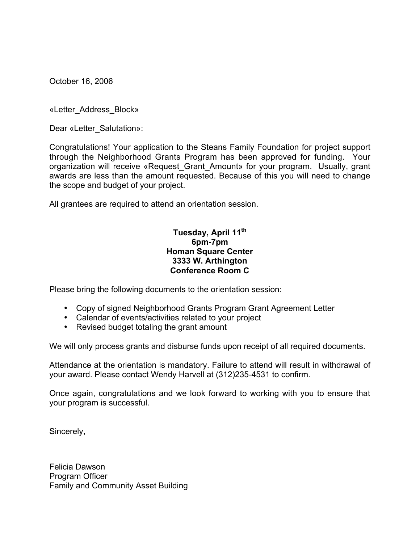October 16, 2006

«Letter\_Address\_Block»

Dear «Letter\_Salutation»:

Congratulations! Your application to the Steans Family Foundation for project support through the Neighborhood Grants Program has been approved for funding. Your organization will receive «Request\_Grant\_Amount» for your program. Usually, grant awards are less than the amount requested. Because of this you will need to change the scope and budget of your project.

All grantees are required to attend an orientation session.

## **Tuesday, April 11th 6pm-7pm Homan Square Center 3333 W. Arthington Conference Room C**

Please bring the following documents to the orientation session:

- Copy of signed Neighborhood Grants Program Grant Agreement Letter
- Calendar of events/activities related to your project
- Revised budget totaling the grant amount

We will only process grants and disburse funds upon receipt of all required documents.

Attendance at the orientation is mandatory. Failure to attend will result in withdrawal of your award. Please contact Wendy Harvell at (312)235-4531 to confirm.

Once again, congratulations and we look forward to working with you to ensure that your program is successful.

Sincerely,

Felicia Dawson Program Officer Family and Community Asset Building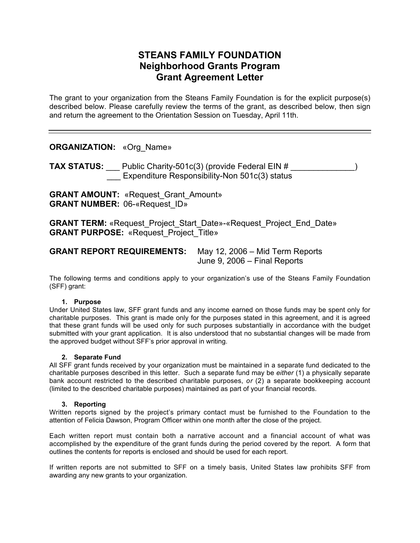# **STEANS FAMILY FOUNDATION Neighborhood Grants Program Grant Agreement Letter**

The grant to your organization from the Steans Family Foundation is for the explicit purpose(s) described below. Please carefully review the terms of the grant, as described below, then sign and return the agreement to the Orientation Session on Tuesday, April 11th.

**ORGANIZATION:** «Org\_Name»

**TAX STATUS:** Public Charity-501c(3) (provide Federal EIN #  $\qquad \qquad$  ) **Expenditure Responsibility-Non 501c(3) status** 

**GRANT AMOUNT:** «Request Grant Amount» **GRANT NUMBER:** 06-«Request\_ID»

**GRANT TERM:** «Request Project Start Date»-«Request Project End Date» **GRANT PURPOSE:** «Request\_Project\_Title»

| <b>GRANT REPORT REQUIREMENTS:</b> | May 12, 2006 – Mid Term Reports |
|-----------------------------------|---------------------------------|
|                                   | June 9, 2006 $-$ Final Reports  |

The following terms and conditions apply to your organization's use of the Steans Family Foundation (SFF) grant:

#### **1. Purpose**

Under United States law, SFF grant funds and any income earned on those funds may be spent only for charitable purposes. This grant is made only for the purposes stated in this agreement, and it is agreed that these grant funds will be used only for such purposes substantially in accordance with the budget submitted with your grant application. It is also understood that no substantial changes will be made from the approved budget without SFF's prior approval in writing.

#### **2. Separate Fund**

All SFF grant funds received by your organization must be maintained in a separate fund dedicated to the charitable purposes described in this letter. Such a separate fund may be *either* (1) a physically separate bank account restricted to the described charitable purposes, *or* (2) a separate bookkeeping account (limited to the described charitable purposes) maintained as part of your financial records.

#### **3. Reporting**

Written reports signed by the project's primary contact must be furnished to the Foundation to the attention of Felicia Dawson, Program Officer within one month after the close of the project.

Each written report must contain both a narrative account and a financial account of what was accomplished by the expenditure of the grant funds during the period covered by the report. A form that outlines the contents for reports is enclosed and should be used for each report.

If written reports are not submitted to SFF on a timely basis, United States law prohibits SFF from awarding any new grants to your organization.